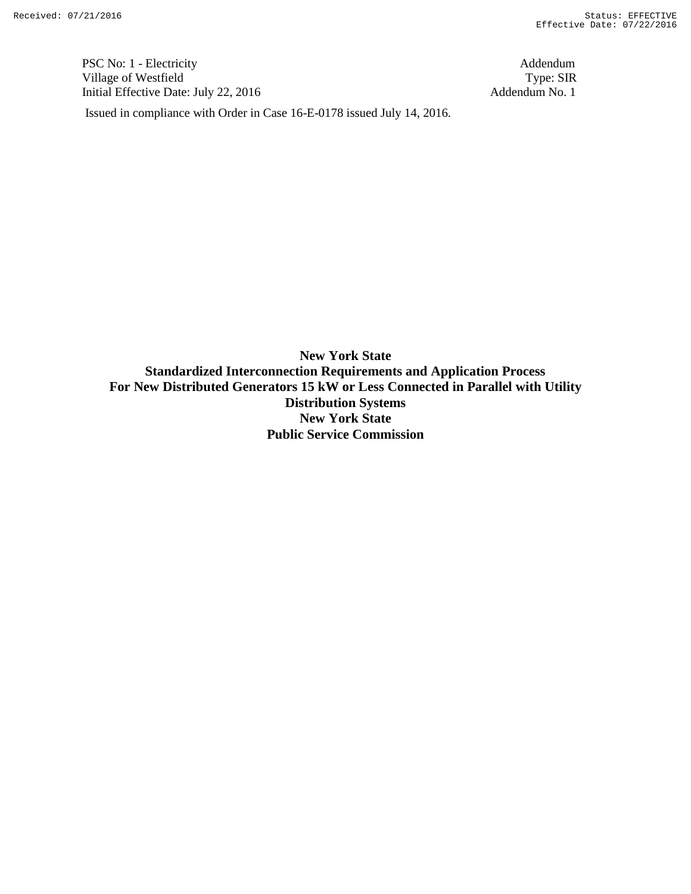PSC No: 1 - Electricity Addendum Village of Westfield Type: SIR Initial Effective Date: July 22, 2016 Addendum No. 1

Issued in compliance with Order in Case 16-E-0178 issued July 14, 2016.

**New York State Standardized Interconnection Requirements and Application Process For New Distributed Generators 15 kW or Less Connected in Parallel with Utility Distribution Systems New York State Public Service Commission**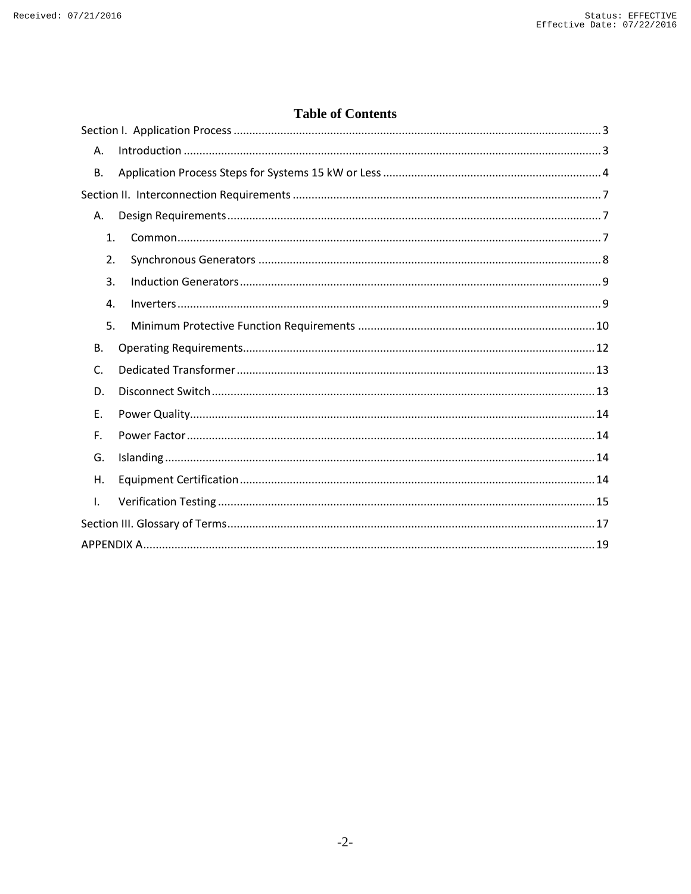# **Table of Contents**

| Α.             |
|----------------|
| В.             |
|                |
| Α.             |
| 1.             |
| 2.             |
| 3.             |
| 4.             |
| 5.             |
| В.             |
| $\mathsf{C}$ . |
| D.             |
| E.             |
| F.             |
| G.             |
| Η.             |
| $\mathbf{I}$ . |
|                |
|                |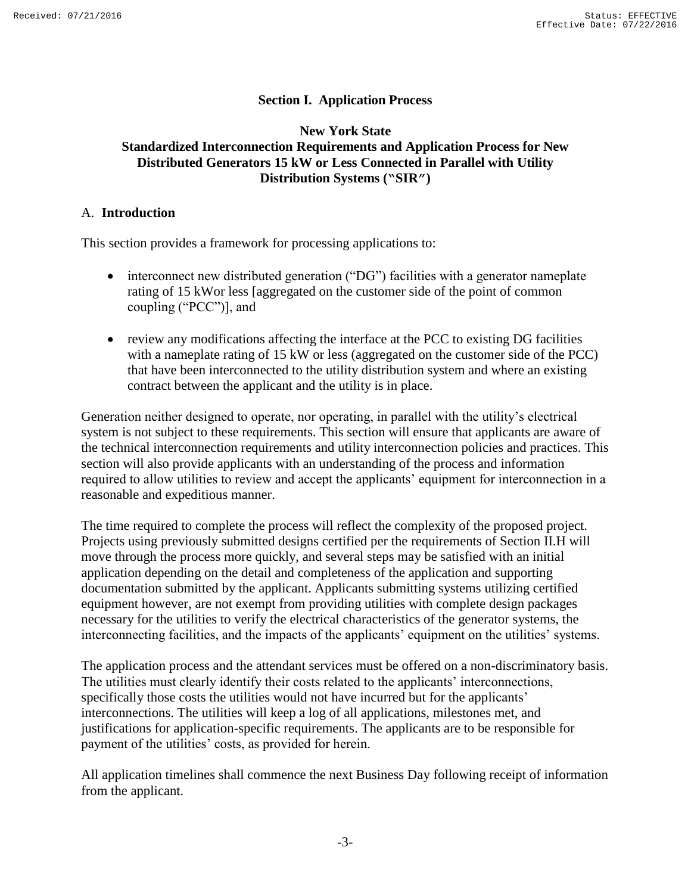## **Section I. Application Process**

## <span id="page-2-0"></span>**New York State Standardized Interconnection Requirements and Application Process for New Distributed Generators 15 kW or Less Connected in Parallel with Utility Distribution Systems ("SIR")**

#### <span id="page-2-1"></span>A. **Introduction**

This section provides a framework for processing applications to:

- interconnect new distributed generation ("DG") facilities with a generator nameplate rating of 15 kWor less [aggregated on the customer side of the point of common coupling ("PCC")], and
- review any modifications affecting the interface at the PCC to existing DG facilities with a nameplate rating of 15 kW or less (aggregated on the customer side of the PCC) that have been interconnected to the utility distribution system and where an existing contract between the applicant and the utility is in place.

Generation neither designed to operate, nor operating, in parallel with the utility's electrical system is not subject to these requirements. This section will ensure that applicants are aware of the technical interconnection requirements and utility interconnection policies and practices. This section will also provide applicants with an understanding of the process and information required to allow utilities to review and accept the applicants' equipment for interconnection in a reasonable and expeditious manner.

The time required to complete the process will reflect the complexity of the proposed project. Projects using previously submitted designs certified per the requirements of Section II.H will move through the process more quickly, and several steps may be satisfied with an initial application depending on the detail and completeness of the application and supporting documentation submitted by the applicant. Applicants submitting systems utilizing certified equipment however, are not exempt from providing utilities with complete design packages necessary for the utilities to verify the electrical characteristics of the generator systems, the interconnecting facilities, and the impacts of the applicants' equipment on the utilities' systems.

The application process and the attendant services must be offered on a non-discriminatory basis. The utilities must clearly identify their costs related to the applicants' interconnections, specifically those costs the utilities would not have incurred but for the applicants' interconnections. The utilities will keep a log of all applications, milestones met, and justifications for application-specific requirements. The applicants are to be responsible for payment of the utilities' costs, as provided for herein.

All application timelines shall commence the next Business Day following receipt of information from the applicant.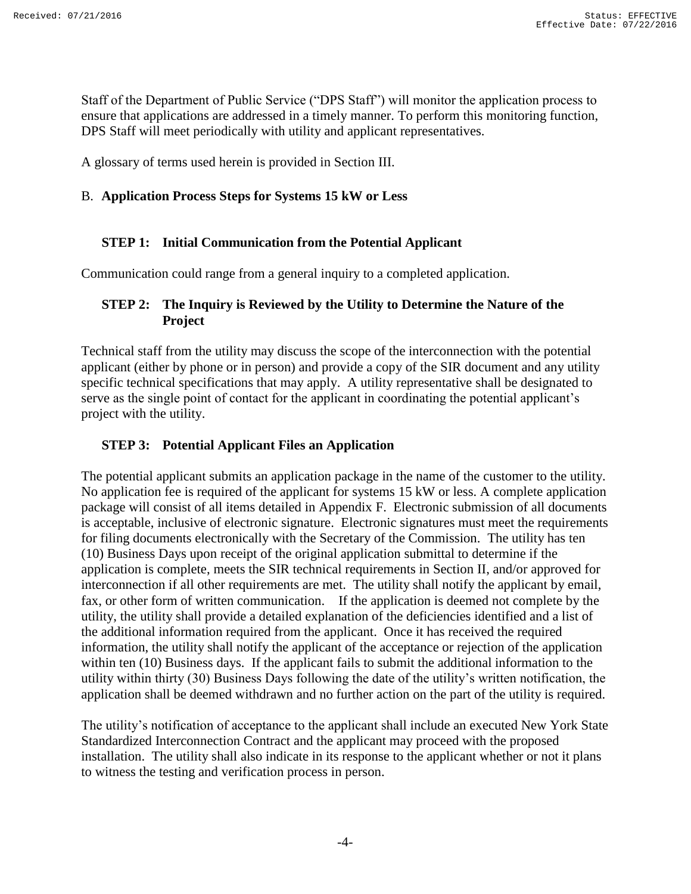Staff of the Department of Public Service ("DPS Staff") will monitor the application process to ensure that applications are addressed in a timely manner. To perform this monitoring function, DPS Staff will meet periodically with utility and applicant representatives.

A glossary of terms used herein is provided in Section III.

#### <span id="page-3-0"></span>B. **Application Process Steps for Systems 15 kW or Less**

## **STEP 1: Initial Communication from the Potential Applicant**

Communication could range from a general inquiry to a completed application.

## **STEP 2: The Inquiry is Reviewed by the Utility to Determine the Nature of the Project**

Technical staff from the utility may discuss the scope of the interconnection with the potential applicant (either by phone or in person) and provide a copy of the SIR document and any utility specific technical specifications that may apply. A utility representative shall be designated to serve as the single point of contact for the applicant in coordinating the potential applicant's project with the utility.

## **STEP 3: Potential Applicant Files an Application**

The potential applicant submits an application package in the name of the customer to the utility. No application fee is required of the applicant for systems 15 kW or less. A complete application package will consist of all items detailed in Appendix F. Electronic submission of all documents is acceptable, inclusive of electronic signature. Electronic signatures must meet the requirements for filing documents electronically with the Secretary of the Commission. The utility has ten (10) Business Days upon receipt of the original application submittal to determine if the application is complete, meets the SIR technical requirements in Section II, and/or approved for interconnection if all other requirements are met. The utility shall notify the applicant by email, fax, or other form of written communication. If the application is deemed not complete by the utility, the utility shall provide a detailed explanation of the deficiencies identified and a list of the additional information required from the applicant. Once it has received the required information, the utility shall notify the applicant of the acceptance or rejection of the application within ten (10) Business days. If the applicant fails to submit the additional information to the utility within thirty (30) Business Days following the date of the utility's written notification, the application shall be deemed withdrawn and no further action on the part of the utility is required.

The utility's notification of acceptance to the applicant shall include an executed New York State Standardized Interconnection Contract and the applicant may proceed with the proposed installation. The utility shall also indicate in its response to the applicant whether or not it plans to witness the testing and verification process in person.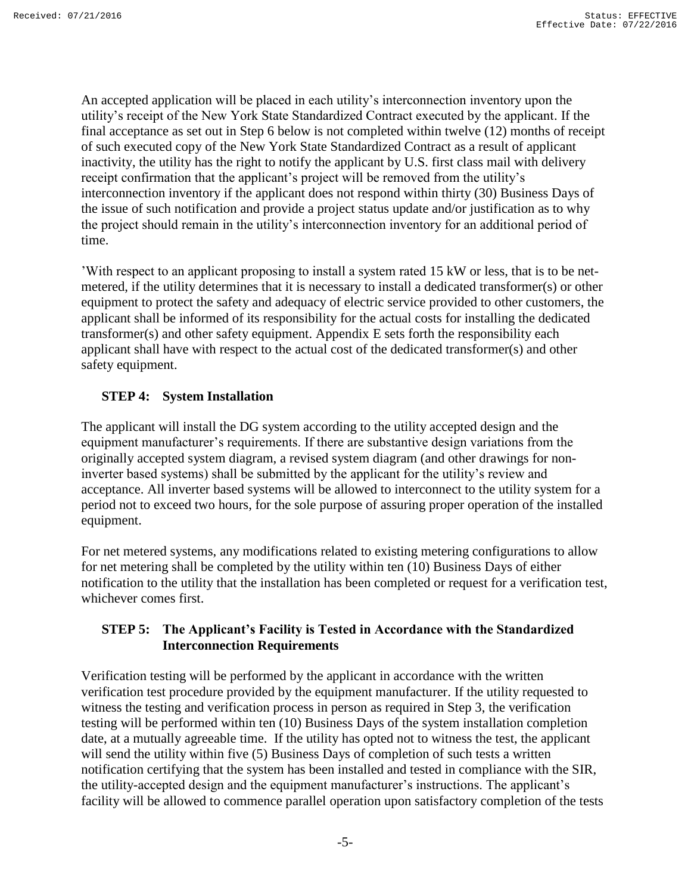An accepted application will be placed in each utility's interconnection inventory upon the utility's receipt of the New York State Standardized Contract executed by the applicant. If the final acceptance as set out in Step 6 below is not completed within twelve (12) months of receipt of such executed copy of the New York State Standardized Contract as a result of applicant inactivity, the utility has the right to notify the applicant by U.S. first class mail with delivery receipt confirmation that the applicant's project will be removed from the utility's interconnection inventory if the applicant does not respond within thirty (30) Business Days of the issue of such notification and provide a project status update and/or justification as to why the project should remain in the utility's interconnection inventory for an additional period of time.

'With respect to an applicant proposing to install a system rated 15 kW or less, that is to be netmetered, if the utility determines that it is necessary to install a dedicated transformer(s) or other equipment to protect the safety and adequacy of electric service provided to other customers, the applicant shall be informed of its responsibility for the actual costs for installing the dedicated transformer(s) and other safety equipment. Appendix E sets forth the responsibility each applicant shall have with respect to the actual cost of the dedicated transformer(s) and other safety equipment.

# **STEP 4: System Installation**

The applicant will install the DG system according to the utility accepted design and the equipment manufacturer's requirements. If there are substantive design variations from the originally accepted system diagram, a revised system diagram (and other drawings for noninverter based systems) shall be submitted by the applicant for the utility's review and acceptance. All inverter based systems will be allowed to interconnect to the utility system for a period not to exceed two hours, for the sole purpose of assuring proper operation of the installed equipment.

For net metered systems, any modifications related to existing metering configurations to allow for net metering shall be completed by the utility within ten (10) Business Days of either notification to the utility that the installation has been completed or request for a verification test, whichever comes first.

## **STEP 5: The Applicant's Facility is Tested in Accordance with the Standardized Interconnection Requirements**

Verification testing will be performed by the applicant in accordance with the written verification test procedure provided by the equipment manufacturer. If the utility requested to witness the testing and verification process in person as required in Step 3, the verification testing will be performed within ten (10) Business Days of the system installation completion date, at a mutually agreeable time. If the utility has opted not to witness the test, the applicant will send the utility within five (5) Business Days of completion of such tests a written notification certifying that the system has been installed and tested in compliance with the SIR, the utility-accepted design and the equipment manufacturer's instructions. The applicant's facility will be allowed to commence parallel operation upon satisfactory completion of the tests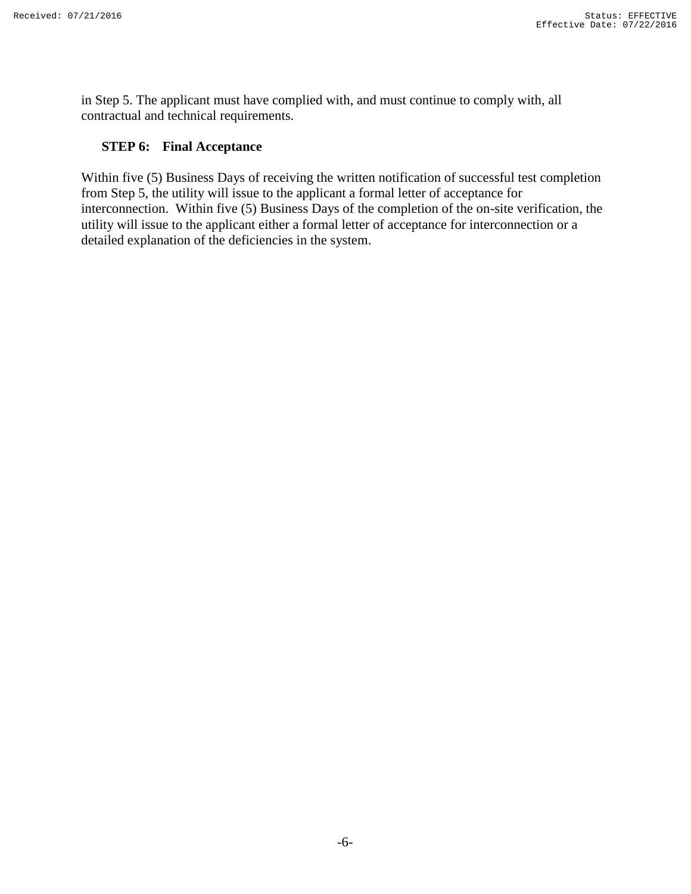in Step 5. The applicant must have complied with, and must continue to comply with, all contractual and technical requirements.

## **STEP 6: Final Acceptance**

Within five (5) Business Days of receiving the written notification of successful test completion from Step 5, the utility will issue to the applicant a formal letter of acceptance for interconnection. Within five (5) Business Days of the completion of the on-site verification, the utility will issue to the applicant either a formal letter of acceptance for interconnection or a detailed explanation of the deficiencies in the system.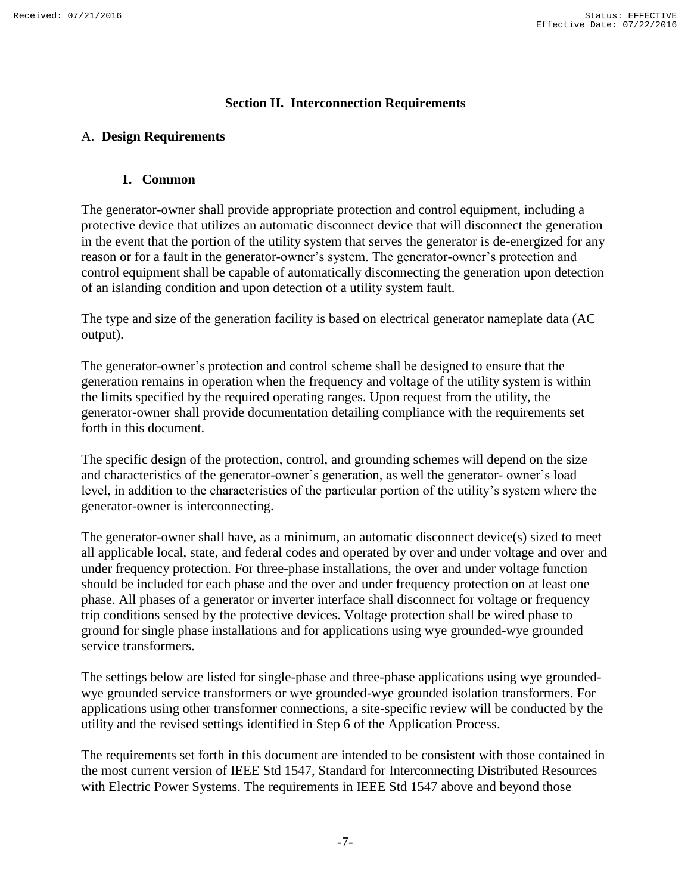#### **Section II. Interconnection Requirements**

## <span id="page-6-2"></span><span id="page-6-1"></span><span id="page-6-0"></span>A. **Design Requirements**

#### **1. Common**

The generator-owner shall provide appropriate protection and control equipment, including a protective device that utilizes an automatic disconnect device that will disconnect the generation in the event that the portion of the utility system that serves the generator is de-energized for any reason or for a fault in the generator-owner's system. The generator-owner's protection and control equipment shall be capable of automatically disconnecting the generation upon detection of an islanding condition and upon detection of a utility system fault.

The type and size of the generation facility is based on electrical generator nameplate data (AC output).

The generator-owner's protection and control scheme shall be designed to ensure that the generation remains in operation when the frequency and voltage of the utility system is within the limits specified by the required operating ranges. Upon request from the utility, the generator-owner shall provide documentation detailing compliance with the requirements set forth in this document.

The specific design of the protection, control, and grounding schemes will depend on the size and characteristics of the generator-owner's generation, as well the generator- owner's load level, in addition to the characteristics of the particular portion of the utility's system where the generator-owner is interconnecting.

The generator-owner shall have, as a minimum, an automatic disconnect device(s) sized to meet all applicable local, state, and federal codes and operated by over and under voltage and over and under frequency protection. For three-phase installations, the over and under voltage function should be included for each phase and the over and under frequency protection on at least one phase. All phases of a generator or inverter interface shall disconnect for voltage or frequency trip conditions sensed by the protective devices. Voltage protection shall be wired phase to ground for single phase installations and for applications using wye grounded-wye grounded service transformers.

The settings below are listed for single-phase and three-phase applications using wye groundedwye grounded service transformers or wye grounded-wye grounded isolation transformers. For applications using other transformer connections, a site-specific review will be conducted by the utility and the revised settings identified in Step 6 of the Application Process.

The requirements set forth in this document are intended to be consistent with those contained in the most current version of IEEE Std 1547, Standard for Interconnecting Distributed Resources with Electric Power Systems. The requirements in IEEE Std 1547 above and beyond those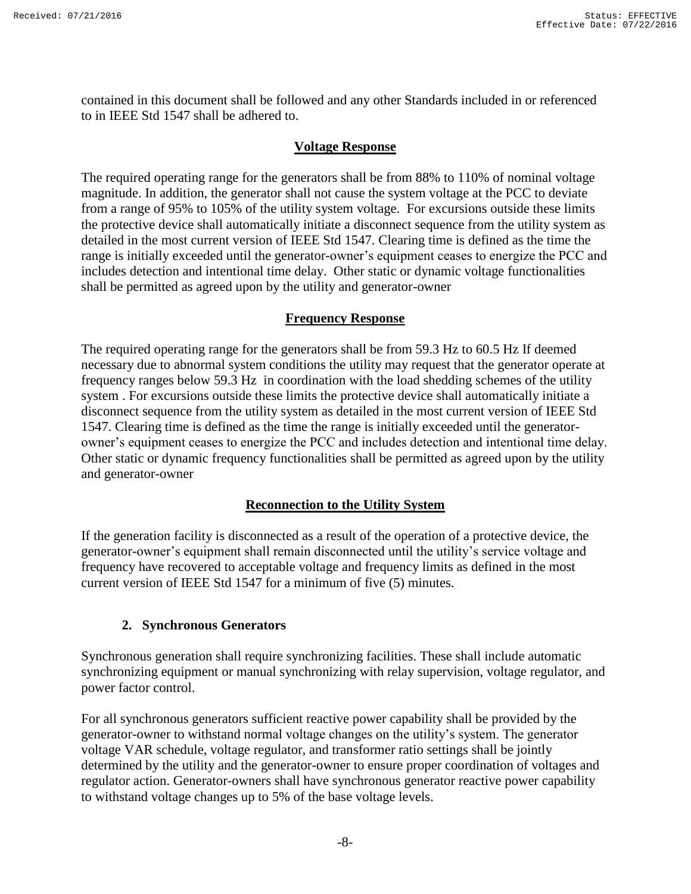contained in this document shall be followed and any other Standards included in or referenced to in IEEE Std 1547 shall be adhered to.

#### **Voltage Response**

The required operating range for the generators shall be from 88% to 110% of nominal voltage magnitude. In addition, the generator shall not cause the system voltage at the PCC to deviate from a range of 95% to 105% of the utility system voltage. For excursions outside these limits the protective device shall automatically initiate a disconnect sequence from the utility system as detailed in the most current version of IEEE Std 1547. Clearing time is defined as the time the range is initially exceeded until the generator-owner's equipment ceases to energize the PCC and includes detection and intentional time delay. Other static or dynamic voltage functionalities shall be permitted as agreed upon by the utility and generator-owner

#### **Frequency Response**

The required operating range for the generators shall be from 59.3 Hz to 60.5 Hz If deemed necessary due to abnormal system conditions the utility may request that the generator operate at frequency ranges below 59.3 Hz in coordination with the load shedding schemes of the utility system . For excursions outside these limits the protective device shall automatically initiate a disconnect sequence from the utility system as detailed in the most current version of IEEE Std 1547. Clearing time is defined as the time the range is initially exceeded until the generatorowner's equipment ceases to energize the PCC and includes detection and intentional time delay. Other static or dynamic frequency functionalities shall be permitted as agreed upon by the utility and generator-owner

#### **Reconnection to the Utility System**

If the generation facility is disconnected as a result of the operation of a protective device, the generator-owner's equipment shall remain disconnected until the utility's service voltage and frequency have recovered to acceptable voltage and frequency limits as defined in the most current version of IEEE Std 1547 for a minimum of five (5) minutes.

#### **2. Synchronous Generators**

<span id="page-7-0"></span>Synchronous generation shall require synchronizing facilities. These shall include automatic synchronizing equipment or manual synchronizing with relay supervision, voltage regulator, and power factor control.

For all synchronous generators sufficient reactive power capability shall be provided by the generator-owner to withstand normal voltage changes on the utility's system. The generator voltage VAR schedule, voltage regulator, and transformer ratio settings shall be jointly determined by the utility and the generator-owner to ensure proper coordination of voltages and regulator action. Generator-owners shall have synchronous generator reactive power capability to withstand voltage changes up to 5% of the base voltage levels.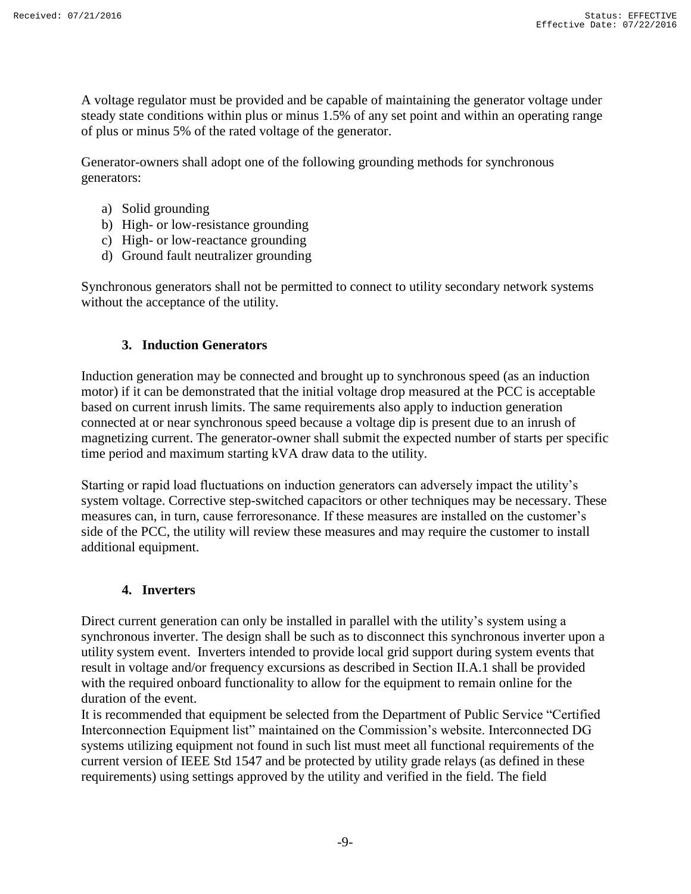A voltage regulator must be provided and be capable of maintaining the generator voltage under steady state conditions within plus or minus 1.5% of any set point and within an operating range of plus or minus 5% of the rated voltage of the generator.

Generator-owners shall adopt one of the following grounding methods for synchronous generators:

- a) Solid grounding
- b) High- or low-resistance grounding
- c) High- or low-reactance grounding
- d) Ground fault neutralizer grounding

Synchronous generators shall not be permitted to connect to utility secondary network systems without the acceptance of the utility.

## **3. Induction Generators**

<span id="page-8-0"></span>Induction generation may be connected and brought up to synchronous speed (as an induction motor) if it can be demonstrated that the initial voltage drop measured at the PCC is acceptable based on current inrush limits. The same requirements also apply to induction generation connected at or near synchronous speed because a voltage dip is present due to an inrush of magnetizing current. The generator-owner shall submit the expected number of starts per specific time period and maximum starting kVA draw data to the utility.

Starting or rapid load fluctuations on induction generators can adversely impact the utility's system voltage. Corrective step-switched capacitors or other techniques may be necessary. These measures can, in turn, cause ferroresonance. If these measures are installed on the customer's side of the PCC, the utility will review these measures and may require the customer to install additional equipment.

#### **4. Inverters**

<span id="page-8-1"></span>Direct current generation can only be installed in parallel with the utility's system using a synchronous inverter. The design shall be such as to disconnect this synchronous inverter upon a utility system event. Inverters intended to provide local grid support during system events that result in voltage and/or frequency excursions as described in Section II.A.1 shall be provided with the required onboard functionality to allow for the equipment to remain online for the duration of the event.

It is recommended that equipment be selected from the Department of Public Service "Certified Interconnection Equipment list" maintained on the Commission's website. Interconnected DG systems utilizing equipment not found in such list must meet all functional requirements of the current version of IEEE Std 1547 and be protected by utility grade relays (as defined in these requirements) using settings approved by the utility and verified in the field. The field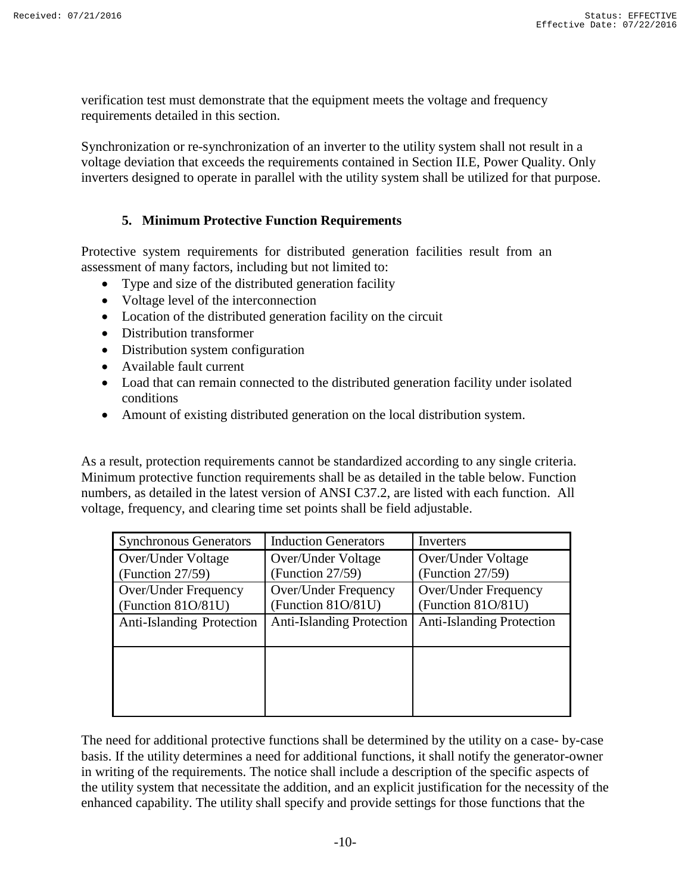verification test must demonstrate that the equipment meets the voltage and frequency requirements detailed in this section.

Synchronization or re-synchronization of an inverter to the utility system shall not result in a voltage deviation that exceeds the requirements contained in Section II.E, Power Quality. Only inverters designed to operate in parallel with the utility system shall be utilized for that purpose.

#### **5. Minimum Protective Function Requirements**

<span id="page-9-0"></span>Protective system requirements for distributed generation facilities result from an assessment of many factors, including but not limited to:

- Type and size of the distributed generation facility
- Voltage level of the interconnection
- Location of the distributed generation facility on the circuit
- Distribution transformer
- Distribution system configuration
- Available fault current
- Load that can remain connected to the distributed generation facility under isolated conditions
- Amount of existing distributed generation on the local distribution system.

As a result, protection requirements cannot be standardized according to any single criteria. Minimum protective function requirements shall be as detailed in the table below. Function numbers, as detailed in the latest version of ANSI C37.2, are listed with each function. All voltage, frequency, and clearing time set points shall be field adjustable.

| <b>Synchronous Generators</b>              | <b>Induction Generators</b>                | Inverters                                  |
|--------------------------------------------|--------------------------------------------|--------------------------------------------|
| Over/Under Voltage                         | Over/Under Voltage                         | Over/Under Voltage                         |
| (Function $27/59$ )                        | (Function 27/59)                           | (Function 27/59)                           |
| Over/Under Frequency<br>(Function 81O/81U) | Over/Under Frequency<br>(Function 81O/81U) | Over/Under Frequency<br>(Function 81O/81U) |
| <b>Anti-Islanding Protection</b>           | <b>Anti-Islanding Protection</b>           | <b>Anti-Islanding Protection</b>           |
|                                            |                                            |                                            |

The need for additional protective functions shall be determined by the utility on a case- by-case basis. If the utility determines a need for additional functions, it shall notify the generator-owner in writing of the requirements. The notice shall include a description of the specific aspects of the utility system that necessitate the addition, and an explicit justification for the necessity of the enhanced capability. The utility shall specify and provide settings for those functions that the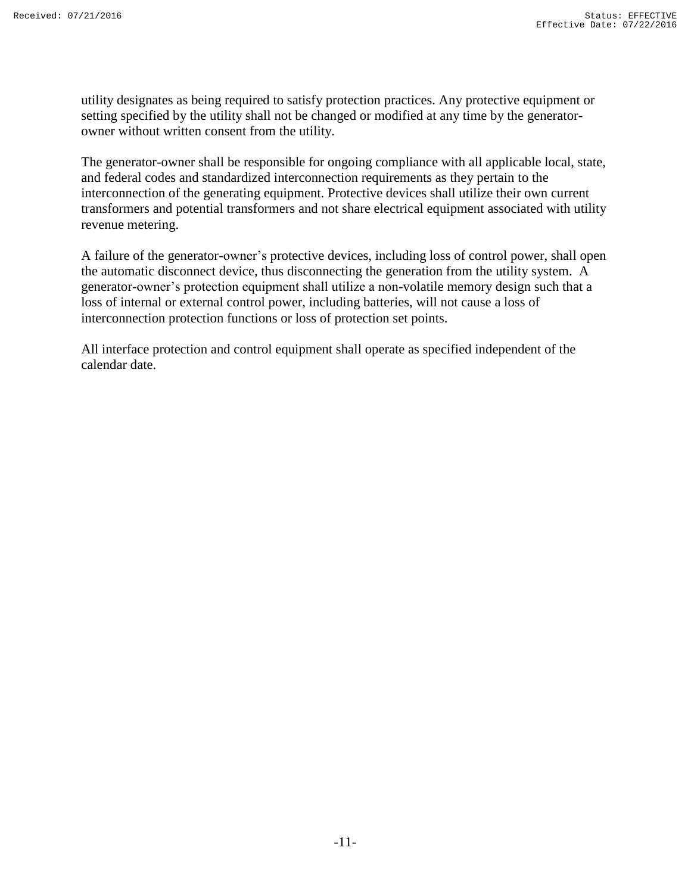utility designates as being required to satisfy protection practices. Any protective equipment or setting specified by the utility shall not be changed or modified at any time by the generatorowner without written consent from the utility.

The generator-owner shall be responsible for ongoing compliance with all applicable local, state, and federal codes and standardized interconnection requirements as they pertain to the interconnection of the generating equipment. Protective devices shall utilize their own current transformers and potential transformers and not share electrical equipment associated with utility revenue metering.

A failure of the generator-owner's protective devices, including loss of control power, shall open the automatic disconnect device, thus disconnecting the generation from the utility system. A generator-owner's protection equipment shall utilize a non-volatile memory design such that a loss of internal or external control power, including batteries, will not cause a loss of interconnection protection functions or loss of protection set points.

All interface protection and control equipment shall operate as specified independent of the calendar date.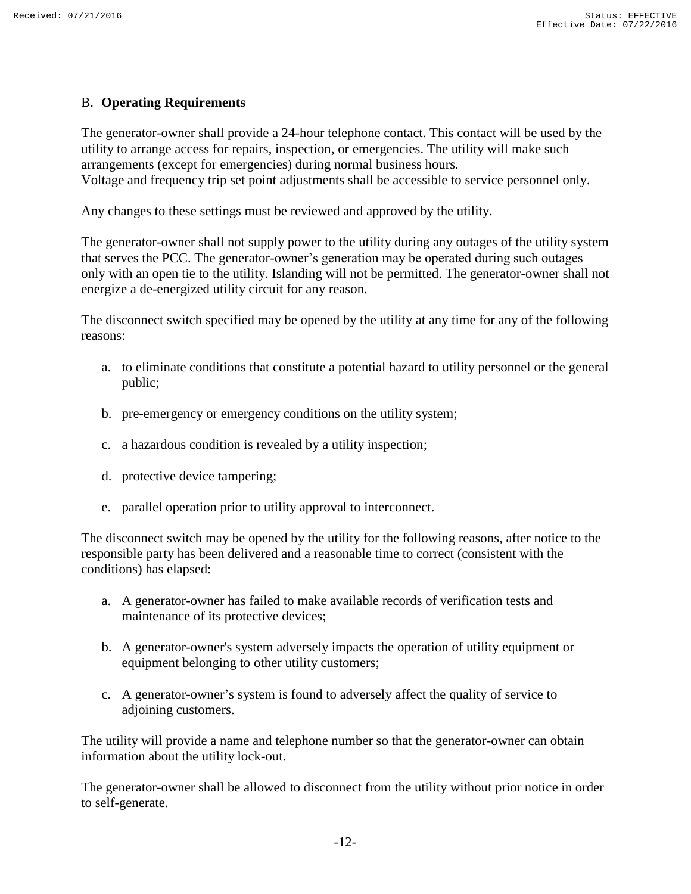## <span id="page-11-0"></span>B. **Operating Requirements**

The generator-owner shall provide a 24-hour telephone contact. This contact will be used by the utility to arrange access for repairs, inspection, or emergencies. The utility will make such arrangements (except for emergencies) during normal business hours. Voltage and frequency trip set point adjustments shall be accessible to service personnel only.

Any changes to these settings must be reviewed and approved by the utility.

The generator-owner shall not supply power to the utility during any outages of the utility system that serves the PCC. The generator-owner's generation may be operated during such outages only with an open tie to the utility. Islanding will not be permitted. The generator-owner shall not energize a de-energized utility circuit for any reason.

The disconnect switch specified may be opened by the utility at any time for any of the following reasons:

- a. to eliminate conditions that constitute a potential hazard to utility personnel or the general public;
- b. pre-emergency or emergency conditions on the utility system;
- c. a hazardous condition is revealed by a utility inspection;
- d. protective device tampering;
- e. parallel operation prior to utility approval to interconnect.

The disconnect switch may be opened by the utility for the following reasons, after notice to the responsible party has been delivered and a reasonable time to correct (consistent with the conditions) has elapsed:

- a. A generator-owner has failed to make available records of verification tests and maintenance of its protective devices;
- b. A generator-owner's system adversely impacts the operation of utility equipment or equipment belonging to other utility customers;
- c. A generator-owner's system is found to adversely affect the quality of service to adjoining customers.

The utility will provide a name and telephone number so that the generator-owner can obtain information about the utility lock-out.

The generator-owner shall be allowed to disconnect from the utility without prior notice in order to self-generate.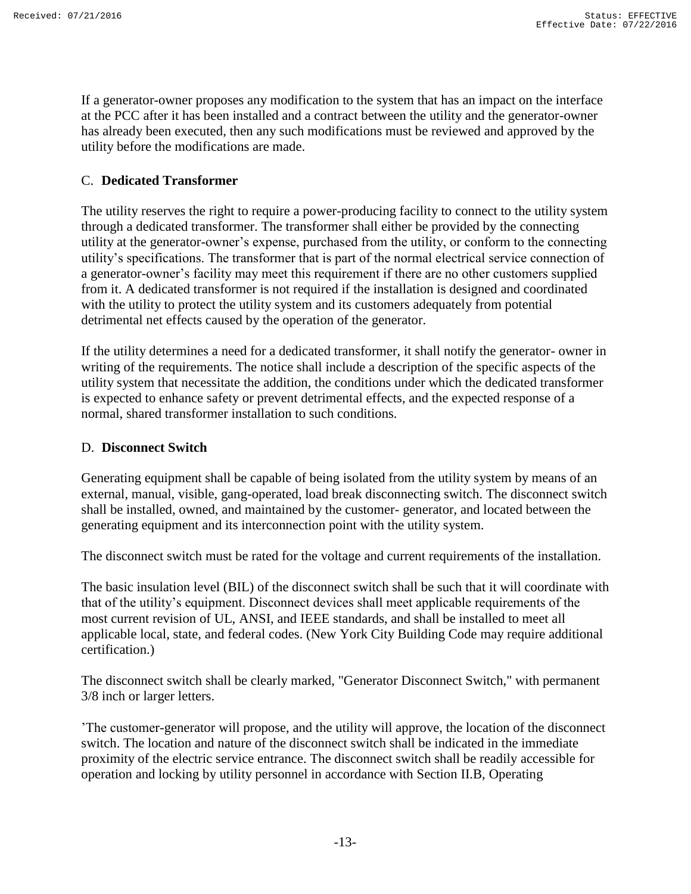If a generator-owner proposes any modification to the system that has an impact on the interface at the PCC after it has been installed and a contract between the utility and the generator-owner has already been executed, then any such modifications must be reviewed and approved by the utility before the modifications are made.

## <span id="page-12-0"></span>C. **Dedicated Transformer**

The utility reserves the right to require a power-producing facility to connect to the utility system through a dedicated transformer. The transformer shall either be provided by the connecting utility at the generator-owner's expense, purchased from the utility, or conform to the connecting utility's specifications. The transformer that is part of the normal electrical service connection of a generator-owner's facility may meet this requirement if there are no other customers supplied from it. A dedicated transformer is not required if the installation is designed and coordinated with the utility to protect the utility system and its customers adequately from potential detrimental net effects caused by the operation of the generator.

If the utility determines a need for a dedicated transformer, it shall notify the generator- owner in writing of the requirements. The notice shall include a description of the specific aspects of the utility system that necessitate the addition, the conditions under which the dedicated transformer is expected to enhance safety or prevent detrimental effects, and the expected response of a normal, shared transformer installation to such conditions.

#### <span id="page-12-1"></span>D. **Disconnect Switch**

Generating equipment shall be capable of being isolated from the utility system by means of an external, manual, visible, gang-operated, load break disconnecting switch. The disconnect switch shall be installed, owned, and maintained by the customer- generator, and located between the generating equipment and its interconnection point with the utility system.

The disconnect switch must be rated for the voltage and current requirements of the installation.

The basic insulation level (BIL) of the disconnect switch shall be such that it will coordinate with that of the utility's equipment. Disconnect devices shall meet applicable requirements of the most current revision of UL, ANSI, and IEEE standards, and shall be installed to meet all applicable local, state, and federal codes. (New York City Building Code may require additional certification.)

The disconnect switch shall be clearly marked, "Generator Disconnect Switch," with permanent 3/8 inch or larger letters.

'The customer-generator will propose, and the utility will approve, the location of the disconnect switch. The location and nature of the disconnect switch shall be indicated in the immediate proximity of the electric service entrance. The disconnect switch shall be readily accessible for operation and locking by utility personnel in accordance with Section II.B, Operating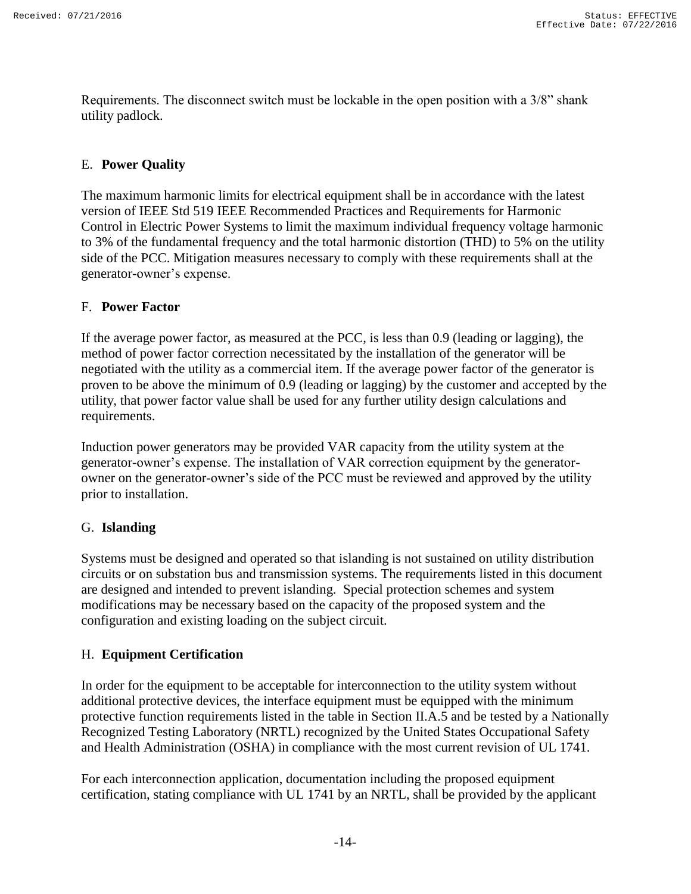Requirements. The disconnect switch must be lockable in the open position with a 3/8" shank utility padlock.

## <span id="page-13-0"></span>E. **Power Quality**

The maximum harmonic limits for electrical equipment shall be in accordance with the latest version of IEEE Std 519 IEEE Recommended Practices and Requirements for Harmonic Control in Electric Power Systems to limit the maximum individual frequency voltage harmonic to 3% of the fundamental frequency and the total harmonic distortion (THD) to 5% on the utility side of the PCC. Mitigation measures necessary to comply with these requirements shall at the generator-owner's expense.

## <span id="page-13-1"></span>F. **Power Factor**

If the average power factor, as measured at the PCC, is less than 0.9 (leading or lagging), the method of power factor correction necessitated by the installation of the generator will be negotiated with the utility as a commercial item. If the average power factor of the generator is proven to be above the minimum of 0.9 (leading or lagging) by the customer and accepted by the utility, that power factor value shall be used for any further utility design calculations and requirements.

Induction power generators may be provided VAR capacity from the utility system at the generator-owner's expense. The installation of VAR correction equipment by the generatorowner on the generator-owner's side of the PCC must be reviewed and approved by the utility prior to installation.

#### <span id="page-13-2"></span>G. **Islanding**

Systems must be designed and operated so that islanding is not sustained on utility distribution circuits or on substation bus and transmission systems. The requirements listed in this document are designed and intended to prevent islanding. Special protection schemes and system modifications may be necessary based on the capacity of the proposed system and the configuration and existing loading on the subject circuit.

# <span id="page-13-3"></span>H. **Equipment Certification**

In order for the equipment to be acceptable for interconnection to the utility system without additional protective devices, the interface equipment must be equipped with the minimum protective function requirements listed in the table in Section II.A.5 and be tested by a Nationally Recognized Testing Laboratory (NRTL) recognized by the United States Occupational Safety and Health Administration (OSHA) in compliance with the most current revision of UL 1741.

For each interconnection application, documentation including the proposed equipment certification, stating compliance with UL 1741 by an NRTL, shall be provided by the applicant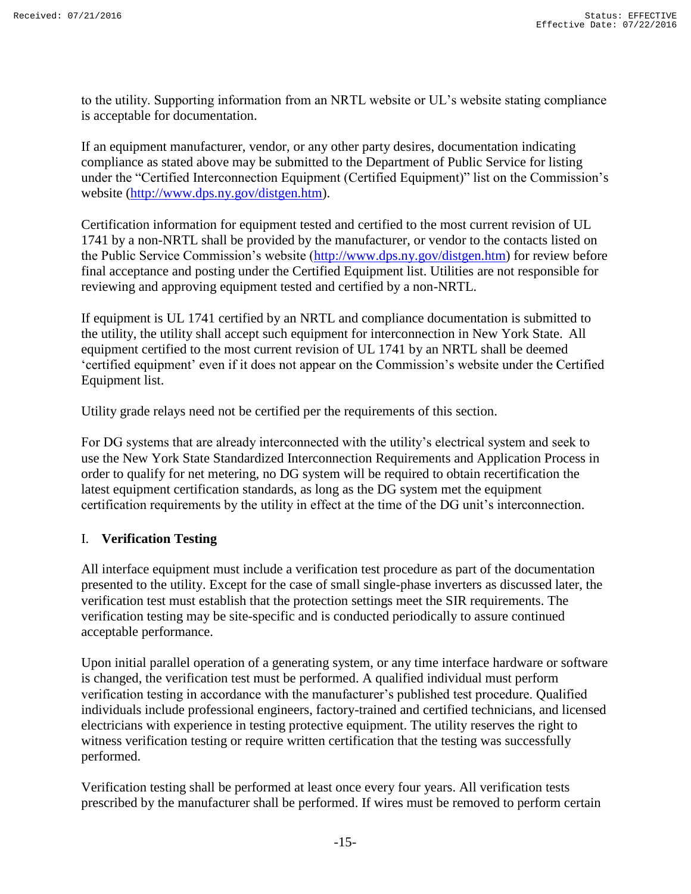to the utility. Supporting information from an NRTL website or UL's website stating compliance is acceptable for documentation.

If an equipment manufacturer, vendor, or any other party desires, documentation indicating compliance as stated above may be submitted to the Department of Public Service for listing under the "Certified Interconnection Equipment (Certified Equipment)" list on the Commission's website [\(http://www.dps.ny.gov/distgen.htm\)](http://www.dps.ny.gov/distgen.htm).

Certification information for equipment tested and certified to the most current revision of UL 1741 by a non-NRTL shall be provided by the manufacturer, or vendor to the contacts listed on the Public Service Commission's website [\(http://www.dps.ny.gov/distgen.htm\)](http://www.dps.ny.gov/distgen.htm) for review before final acceptance and posting under the Certified Equipment list. Utilities are not responsible for reviewing and approving equipment tested and certified by a non-NRTL.

If equipment is UL 1741 certified by an NRTL and compliance documentation is submitted to the utility, the utility shall accept such equipment for interconnection in New York State. All equipment certified to the most current revision of UL 1741 by an NRTL shall be deemed 'certified equipment' even if it does not appear on the Commission's website under the Certified Equipment list.

Utility grade relays need not be certified per the requirements of this section.

For DG systems that are already interconnected with the utility's electrical system and seek to use the New York State Standardized Interconnection Requirements and Application Process in order to qualify for net metering, no DG system will be required to obtain recertification the latest equipment certification standards, as long as the DG system met the equipment certification requirements by the utility in effect at the time of the DG unit's interconnection.

#### <span id="page-14-0"></span>I. **Verification Testing**

All interface equipment must include a verification test procedure as part of the documentation presented to the utility. Except for the case of small single-phase inverters as discussed later, the verification test must establish that the protection settings meet the SIR requirements. The verification testing may be site-specific and is conducted periodically to assure continued acceptable performance.

Upon initial parallel operation of a generating system, or any time interface hardware or software is changed, the verification test must be performed. A qualified individual must perform verification testing in accordance with the manufacturer's published test procedure. Qualified individuals include professional engineers, factory-trained and certified technicians, and licensed electricians with experience in testing protective equipment. The utility reserves the right to witness verification testing or require written certification that the testing was successfully performed.

Verification testing shall be performed at least once every four years. All verification tests prescribed by the manufacturer shall be performed. If wires must be removed to perform certain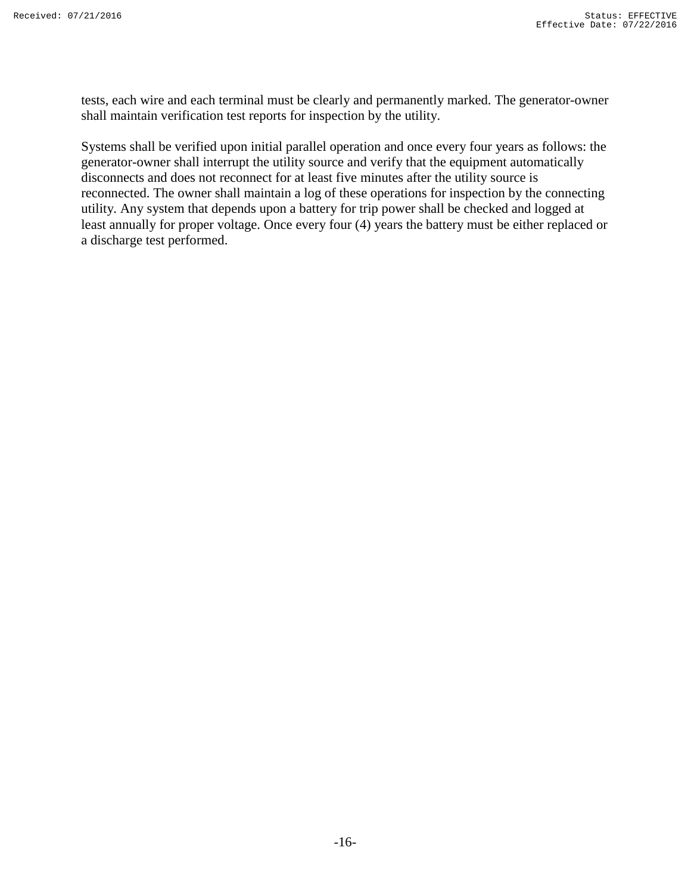tests, each wire and each terminal must be clearly and permanently marked. The generator-owner shall maintain verification test reports for inspection by the utility.

Systems shall be verified upon initial parallel operation and once every four years as follows: the generator-owner shall interrupt the utility source and verify that the equipment automatically disconnects and does not reconnect for at least five minutes after the utility source is reconnected. The owner shall maintain a log of these operations for inspection by the connecting utility. Any system that depends upon a battery for trip power shall be checked and logged at least annually for proper voltage. Once every four (4) years the battery must be either replaced or a discharge test performed.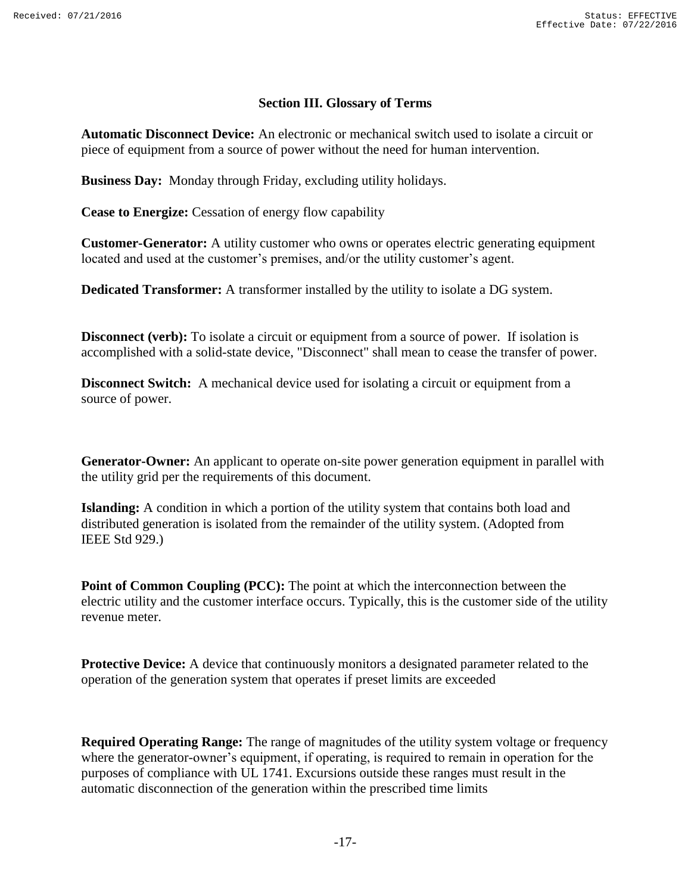#### **Section III. Glossary of Terms**

<span id="page-16-0"></span>**Automatic Disconnect Device:** An electronic or mechanical switch used to isolate a circuit or piece of equipment from a source of power without the need for human intervention.

**Business Day:** Monday through Friday, excluding utility holidays.

**Cease to Energize:** Cessation of energy flow capability

**Customer-Generator:** A utility customer who owns or operates electric generating equipment located and used at the customer's premises, and/or the utility customer's agent.

**Dedicated Transformer:** A transformer installed by the utility to isolate a DG system.

**Disconnect (verb):** To isolate a circuit or equipment from a source of power. If isolation is accomplished with a solid-state device, "Disconnect" shall mean to cease the transfer of power.

**Disconnect Switch:** A mechanical device used for isolating a circuit or equipment from a source of power.

**Generator-Owner:** An applicant to operate on-site power generation equipment in parallel with the utility grid per the requirements of this document.

**Islanding:** A condition in which a portion of the utility system that contains both load and distributed generation is isolated from the remainder of the utility system. (Adopted from IEEE Std 929.)

**Point of Common Coupling (PCC):** The point at which the interconnection between the electric utility and the customer interface occurs. Typically, this is the customer side of the utility revenue meter.

**Protective Device:** A device that continuously monitors a designated parameter related to the operation of the generation system that operates if preset limits are exceeded

**Required Operating Range:** The range of magnitudes of the utility system voltage or frequency where the generator-owner's equipment, if operating, is required to remain in operation for the purposes of compliance with UL 1741. Excursions outside these ranges must result in the automatic disconnection of the generation within the prescribed time limits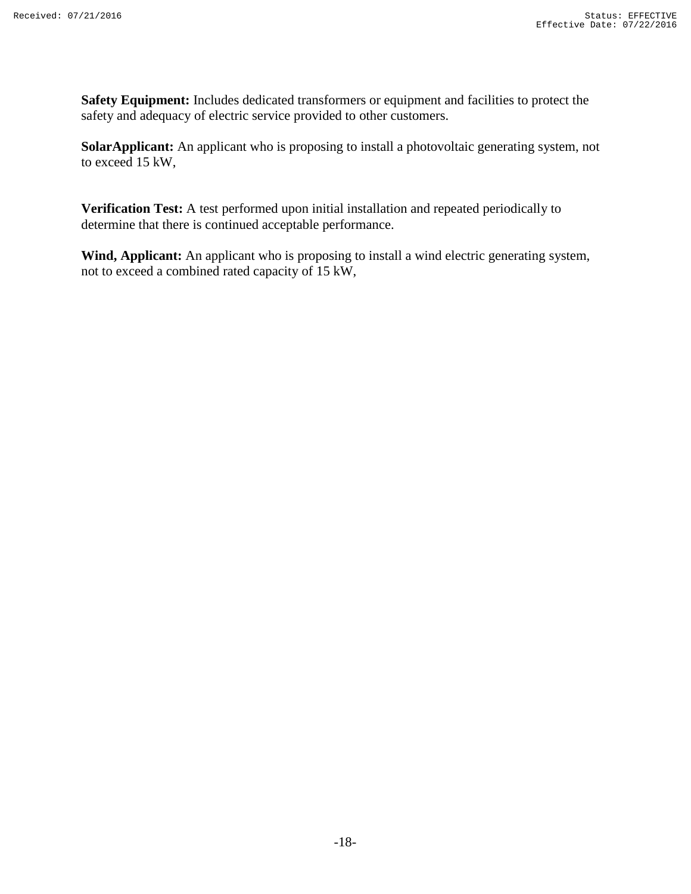**Safety Equipment:** Includes dedicated transformers or equipment and facilities to protect the safety and adequacy of electric service provided to other customers.

**SolarApplicant:** An applicant who is proposing to install a photovoltaic generating system, not to exceed 15 kW,

**Verification Test:** A test performed upon initial installation and repeated periodically to determine that there is continued acceptable performance.

**Wind, Applicant:** An applicant who is proposing to install a wind electric generating system, not to exceed a combined rated capacity of 15 kW,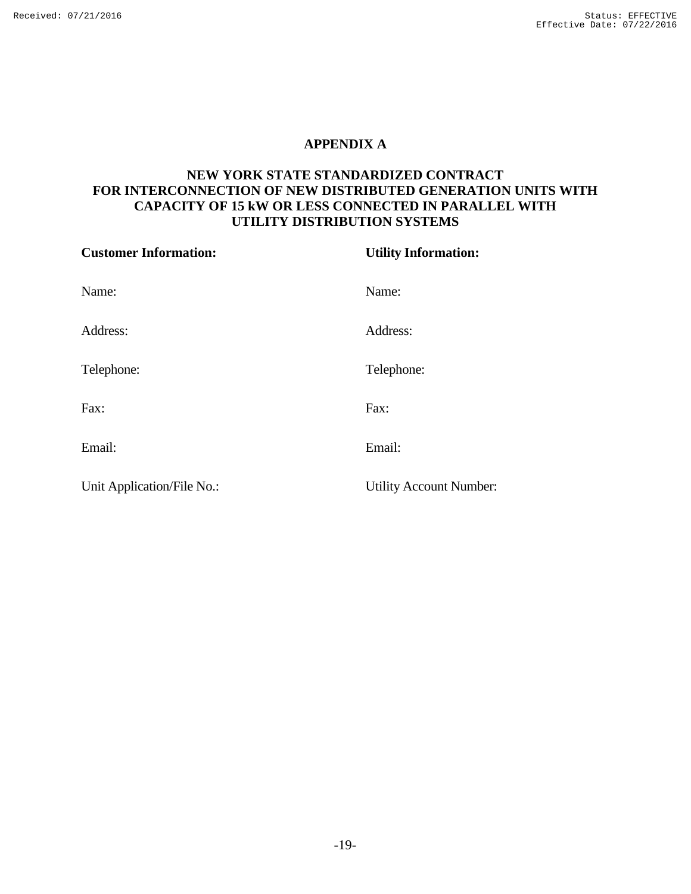## **APPENDIX A**

# <span id="page-18-0"></span>**NEW YORK STATE STANDARDIZED CONTRACT FOR INTERCONNECTION OF NEW DISTRIBUTED GENERATION UNITS WITH CAPACITY OF 15 kW OR LESS CONNECTED IN PARALLEL WITH UTILITY DISTRIBUTION SYSTEMS**

| <b>Customer Information:</b> | <b>Utility Information:</b>    |
|------------------------------|--------------------------------|
| Name:                        | Name:                          |
| Address:                     | Address:                       |
| Telephone:                   | Telephone:                     |
| Fax:                         | Fax:                           |
| Email:                       | Email:                         |
| Unit Application/File No.:   | <b>Utility Account Number:</b> |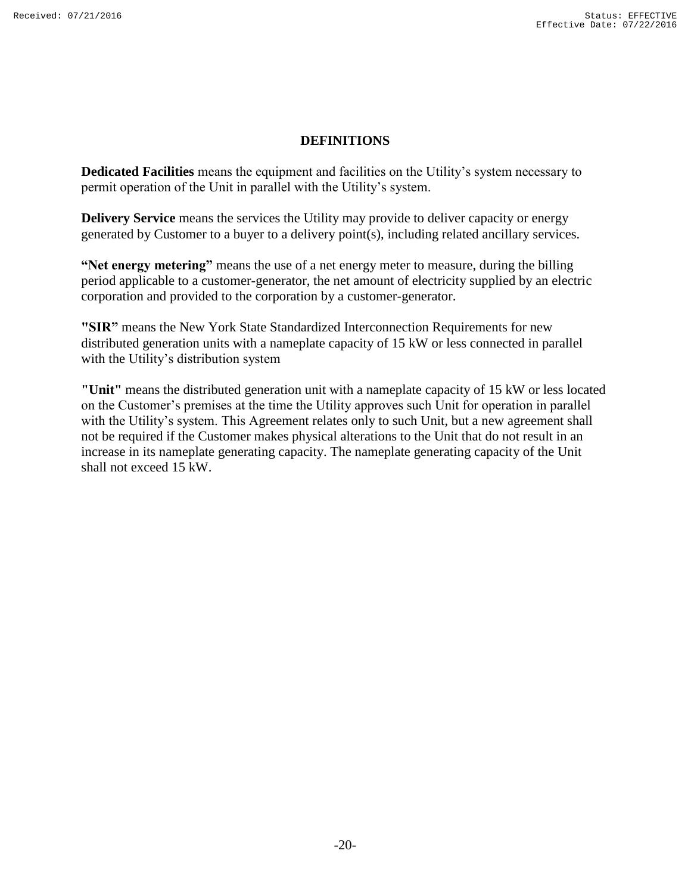#### **DEFINITIONS**

**Dedicated Facilities** means the equipment and facilities on the Utility's system necessary to permit operation of the Unit in parallel with the Utility's system.

**Delivery Service** means the services the Utility may provide to deliver capacity or energy generated by Customer to a buyer to a delivery point(s), including related ancillary services.

**"Net energy metering"** means the use of a net energy meter to measure, during the billing period applicable to a customer-generator, the net amount of electricity supplied by an electric corporation and provided to the corporation by a customer-generator.

**"SIR"** means the New York State Standardized Interconnection Requirements for new distributed generation units with a nameplate capacity of 15 kW or less connected in parallel with the Utility's distribution system

**"Unit"** means the distributed generation unit with a nameplate capacity of 15 kW or less located on the Customer's premises at the time the Utility approves such Unit for operation in parallel with the Utility's system. This Agreement relates only to such Unit, but a new agreement shall not be required if the Customer makes physical alterations to the Unit that do not result in an increase in its nameplate generating capacity. The nameplate generating capacity of the Unit shall not exceed 15 kW.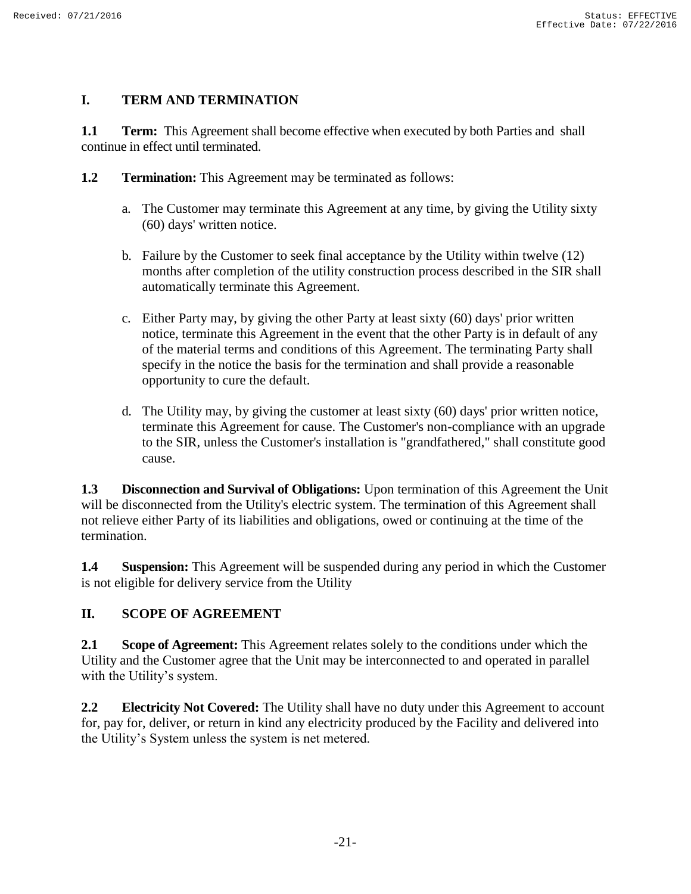# **I. TERM AND TERMINATION**

**1.1 Term:** This Agreement shall become effective when executed by both Parties and shall continue in effect until terminated.

- **1.2 Termination:** This Agreement may be terminated as follows:
	- a. The Customer may terminate this Agreement at any time, by giving the Utility sixty (60) days' written notice.
	- b. Failure by the Customer to seek final acceptance by the Utility within twelve (12) months after completion of the utility construction process described in the SIR shall automatically terminate this Agreement.
	- c. Either Party may, by giving the other Party at least sixty (60) days' prior written notice, terminate this Agreement in the event that the other Party is in default of any of the material terms and conditions of this Agreement. The terminating Party shall specify in the notice the basis for the termination and shall provide a reasonable opportunity to cure the default.
	- d. The Utility may, by giving the customer at least sixty (60) days' prior written notice, terminate this Agreement for cause. The Customer's non-compliance with an upgrade to the SIR, unless the Customer's installation is "grandfathered," shall constitute good cause.

**1.3 Disconnection and Survival of Obligations:** Upon termination of this Agreement the Unit will be disconnected from the Utility's electric system. The termination of this Agreement shall not relieve either Party of its liabilities and obligations, owed or continuing at the time of the termination.

**1.4 Suspension:** This Agreement will be suspended during any period in which the Customer is not eligible for delivery service from the Utility

# **II. SCOPE OF AGREEMENT**

**2.1 Scope of Agreement:** This Agreement relates solely to the conditions under which the Utility and the Customer agree that the Unit may be interconnected to and operated in parallel with the Utility's system.

**2.2 Electricity Not Covered:** The Utility shall have no duty under this Agreement to account for, pay for, deliver, or return in kind any electricity produced by the Facility and delivered into the Utility's System unless the system is net metered.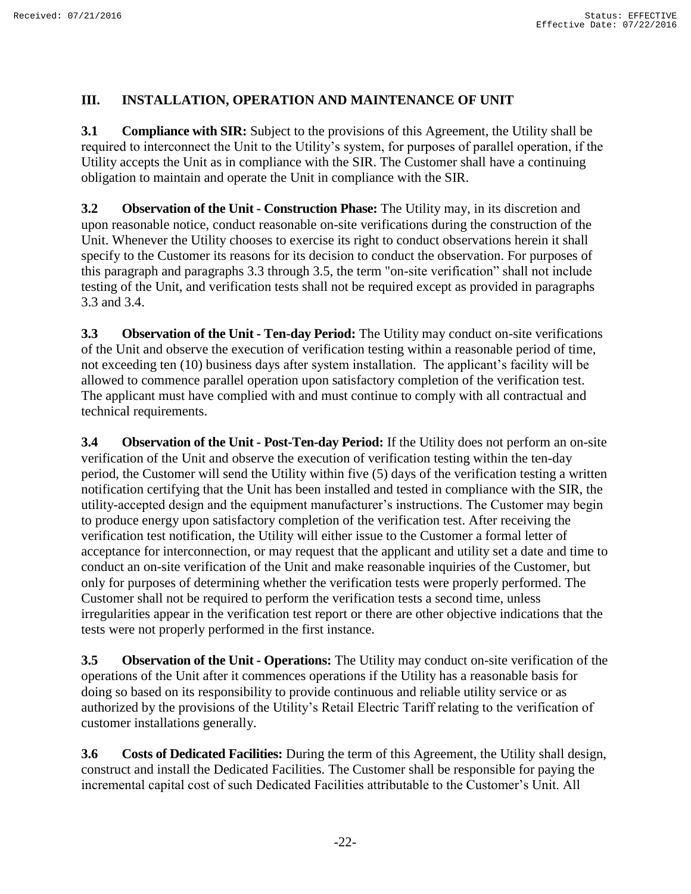## **III. INSTALLATION, OPERATION AND MAINTENANCE OF UNIT**

**3.1 Compliance with SIR:** Subject to the provisions of this Agreement, the Utility shall be required to interconnect the Unit to the Utility's system, for purposes of parallel operation, if the Utility accepts the Unit as in compliance with the SIR. The Customer shall have a continuing obligation to maintain and operate the Unit in compliance with the SIR.

**3.2 Observation of the Unit - Construction Phase:** The Utility may, in its discretion and upon reasonable notice, conduct reasonable on-site verifications during the construction of the Unit. Whenever the Utility chooses to exercise its right to conduct observations herein it shall specify to the Customer its reasons for its decision to conduct the observation. For purposes of this paragraph and paragraphs 3.3 through 3.5, the term "on-site verification" shall not include testing of the Unit, and verification tests shall not be required except as provided in paragraphs 3.3 and 3.4.

**3.3 Observation of the Unit - Ten-day Period:** The Utility may conduct on-site verifications of the Unit and observe the execution of verification testing within a reasonable period of time, not exceeding ten (10) business days after system installation. The applicant's facility will be allowed to commence parallel operation upon satisfactory completion of the verification test. The applicant must have complied with and must continue to comply with all contractual and technical requirements.

**3.4 Observation of the Unit - Post-Ten-day Period:** If the Utility does not perform an on-site verification of the Unit and observe the execution of verification testing within the ten-day period, the Customer will send the Utility within five (5) days of the verification testing a written notification certifying that the Unit has been installed and tested in compliance with the SIR, the utility-accepted design and the equipment manufacturer's instructions. The Customer may begin to produce energy upon satisfactory completion of the verification test. After receiving the verification test notification, the Utility will either issue to the Customer a formal letter of acceptance for interconnection, or may request that the applicant and utility set a date and time to conduct an on-site verification of the Unit and make reasonable inquiries of the Customer, but only for purposes of determining whether the verification tests were properly performed. The Customer shall not be required to perform the verification tests a second time, unless irregularities appear in the verification test report or there are other objective indications that the tests were not properly performed in the first instance.

**3.5 Observation of the Unit - Operations:** The Utility may conduct on-site verification of the operations of the Unit after it commences operations if the Utility has a reasonable basis for doing so based on its responsibility to provide continuous and reliable utility service or as authorized by the provisions of the Utility's Retail Electric Tariff relating to the verification of customer installations generally.

**3.6 Costs of Dedicated Facilities:** During the term of this Agreement, the Utility shall design, construct and install the Dedicated Facilities. The Customer shall be responsible for paying the incremental capital cost of such Dedicated Facilities attributable to the Customer's Unit. All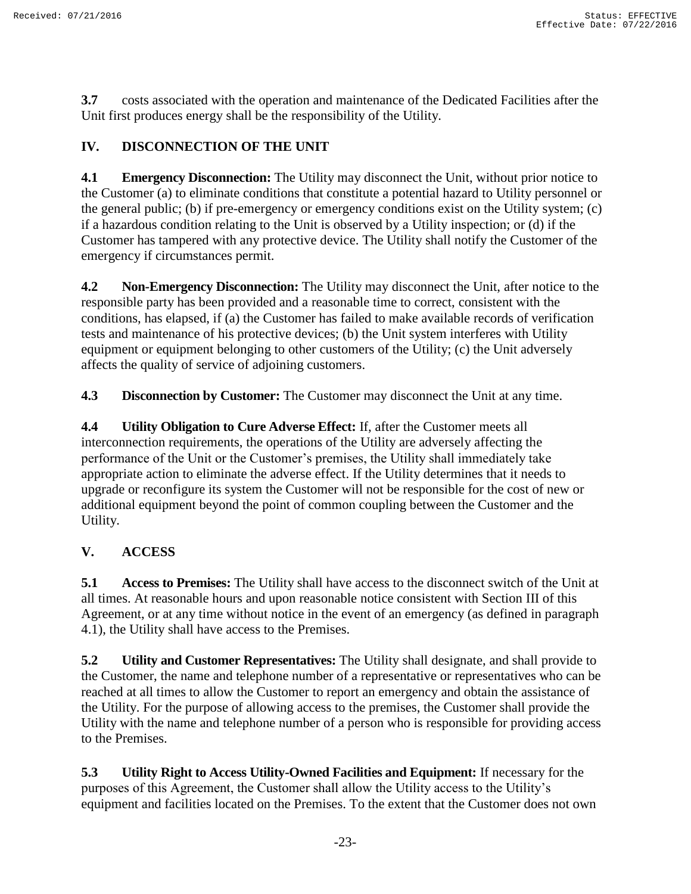**3.7** costs associated with the operation and maintenance of the Dedicated Facilities after the Unit first produces energy shall be the responsibility of the Utility.

# **IV. DISCONNECTION OF THE UNIT**

**4.1 Emergency Disconnection:** The Utility may disconnect the Unit, without prior notice to the Customer (a) to eliminate conditions that constitute a potential hazard to Utility personnel or the general public; (b) if pre-emergency or emergency conditions exist on the Utility system; (c) if a hazardous condition relating to the Unit is observed by a Utility inspection; or (d) if the Customer has tampered with any protective device. The Utility shall notify the Customer of the emergency if circumstances permit.

**4.2 Non-Emergency Disconnection:** The Utility may disconnect the Unit, after notice to the responsible party has been provided and a reasonable time to correct, consistent with the conditions, has elapsed, if (a) the Customer has failed to make available records of verification tests and maintenance of his protective devices; (b) the Unit system interferes with Utility equipment or equipment belonging to other customers of the Utility; (c) the Unit adversely affects the quality of service of adjoining customers.

**4.3 Disconnection by Customer:** The Customer may disconnect the Unit at any time.

**4.4 Utility Obligation to Cure Adverse Effect:** If, after the Customer meets all interconnection requirements, the operations of the Utility are adversely affecting the performance of the Unit or the Customer's premises, the Utility shall immediately take appropriate action to eliminate the adverse effect. If the Utility determines that it needs to upgrade or reconfigure its system the Customer will not be responsible for the cost of new or additional equipment beyond the point of common coupling between the Customer and the Utility.

# **V. ACCESS**

**5.1 Access to Premises:** The Utility shall have access to the disconnect switch of the Unit at all times. At reasonable hours and upon reasonable notice consistent with Section III of this Agreement, or at any time without notice in the event of an emergency (as defined in paragraph 4.1), the Utility shall have access to the Premises.

**5.2 Utility and Customer Representatives:** The Utility shall designate, and shall provide to the Customer, the name and telephone number of a representative or representatives who can be reached at all times to allow the Customer to report an emergency and obtain the assistance of the Utility. For the purpose of allowing access to the premises, the Customer shall provide the Utility with the name and telephone number of a person who is responsible for providing access to the Premises.

**5.3 Utility Right to Access Utility-Owned Facilities and Equipment:** If necessary for the purposes of this Agreement, the Customer shall allow the Utility access to the Utility's equipment and facilities located on the Premises. To the extent that the Customer does not own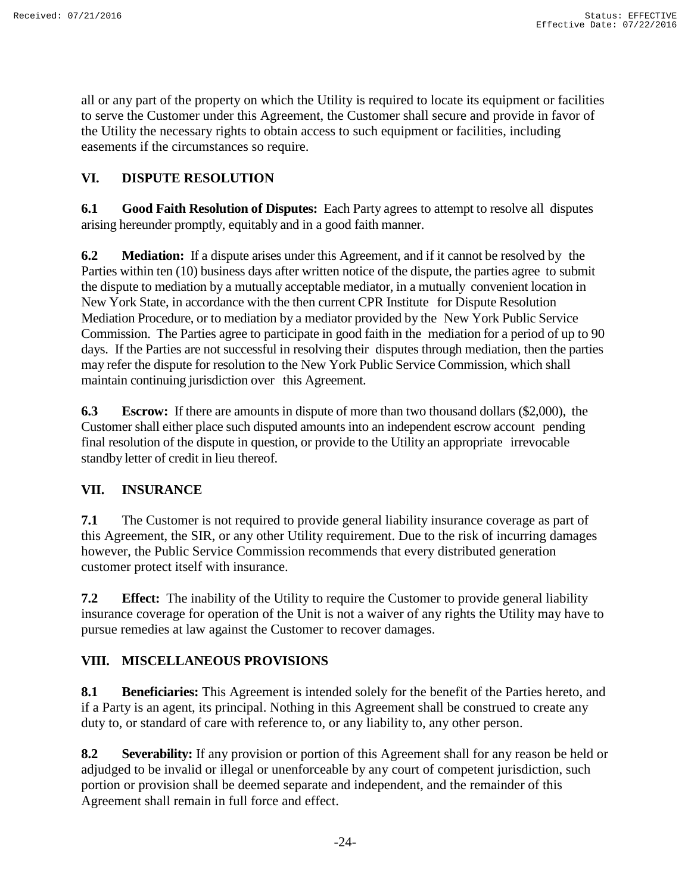all or any part of the property on which the Utility is required to locate its equipment or facilities to serve the Customer under this Agreement, the Customer shall secure and provide in favor of the Utility the necessary rights to obtain access to such equipment or facilities, including easements if the circumstances so require.

# **VI. DISPUTE RESOLUTION**

**6.1 Good Faith Resolution of Disputes:** Each Party agrees to attempt to resolve all disputes arising hereunder promptly, equitably and in a good faith manner.

**6.2 Mediation:** If a dispute arises under this Agreement, and if it cannot be resolved by the Parties within ten (10) business days after written notice of the dispute, the parties agree to submit the dispute to mediation by a mutually acceptable mediator, in a mutually convenient location in New York State, in accordance with the then current CPR Institute for Dispute Resolution Mediation Procedure, or to mediation by a mediator provided by the New York Public Service Commission. The Parties agree to participate in good faith in the mediation for a period of up to 90 days. If the Parties are not successful in resolving their disputes through mediation, then the parties may refer the dispute for resolution to the New York Public Service Commission, which shall maintain continuing jurisdiction over this Agreement.

**6.3 Escrow:** If there are amounts in dispute of more than two thousand dollars (\$2,000), the Customer shall either place such disputed amounts into an independent escrow account pending final resolution of the dispute in question, or provide to the Utility an appropriate irrevocable standby letter of credit in lieu thereof.

# **VII. INSURANCE**

**7.1** The Customer is not required to provide general liability insurance coverage as part of this Agreement, the SIR, or any other Utility requirement. Due to the risk of incurring damages however, the Public Service Commission recommends that every distributed generation customer protect itself with insurance.

**7.2 Effect:** The inability of the Utility to require the Customer to provide general liability insurance coverage for operation of the Unit is not a waiver of any rights the Utility may have to pursue remedies at law against the Customer to recover damages.

# **VIII. MISCELLANEOUS PROVISIONS**

**8.1 Beneficiaries:** This Agreement is intended solely for the benefit of the Parties hereto, and if a Party is an agent, its principal. Nothing in this Agreement shall be construed to create any duty to, or standard of care with reference to, or any liability to, any other person.

**8.2 Severability:** If any provision or portion of this Agreement shall for any reason be held or adjudged to be invalid or illegal or unenforceable by any court of competent jurisdiction, such portion or provision shall be deemed separate and independent, and the remainder of this Agreement shall remain in full force and effect.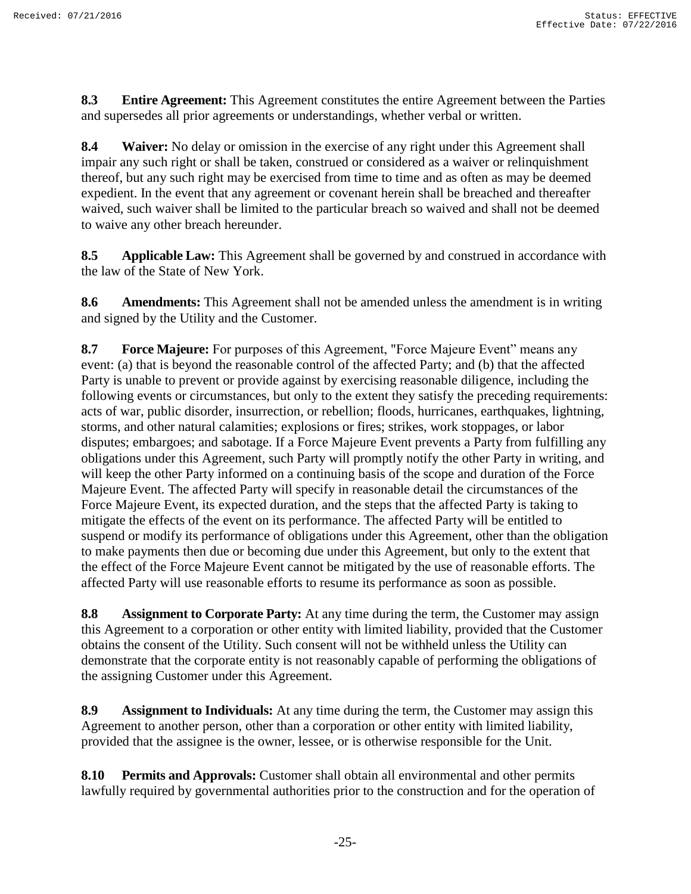**8.3 Entire Agreement:** This Agreement constitutes the entire Agreement between the Parties and supersedes all prior agreements or understandings, whether verbal or written.

**8.4 Waiver:** No delay or omission in the exercise of any right under this Agreement shall impair any such right or shall be taken, construed or considered as a waiver or relinquishment thereof, but any such right may be exercised from time to time and as often as may be deemed expedient. In the event that any agreement or covenant herein shall be breached and thereafter waived, such waiver shall be limited to the particular breach so waived and shall not be deemed to waive any other breach hereunder.

**8.5 Applicable Law:** This Agreement shall be governed by and construed in accordance with the law of the State of New York.

**8.6 Amendments:** This Agreement shall not be amended unless the amendment is in writing and signed by the Utility and the Customer.

**8.7 Force Majeure:** For purposes of this Agreement, "Force Majeure Event" means any event: (a) that is beyond the reasonable control of the affected Party; and (b) that the affected Party is unable to prevent or provide against by exercising reasonable diligence, including the following events or circumstances, but only to the extent they satisfy the preceding requirements: acts of war, public disorder, insurrection, or rebellion; floods, hurricanes, earthquakes, lightning, storms, and other natural calamities; explosions or fires; strikes, work stoppages, or labor disputes; embargoes; and sabotage. If a Force Majeure Event prevents a Party from fulfilling any obligations under this Agreement, such Party will promptly notify the other Party in writing, and will keep the other Party informed on a continuing basis of the scope and duration of the Force Majeure Event. The affected Party will specify in reasonable detail the circumstances of the Force Majeure Event, its expected duration, and the steps that the affected Party is taking to mitigate the effects of the event on its performance. The affected Party will be entitled to suspend or modify its performance of obligations under this Agreement, other than the obligation to make payments then due or becoming due under this Agreement, but only to the extent that the effect of the Force Majeure Event cannot be mitigated by the use of reasonable efforts. The affected Party will use reasonable efforts to resume its performance as soon as possible.

**8.8 Assignment to Corporate Party:** At any time during the term, the Customer may assign this Agreement to a corporation or other entity with limited liability, provided that the Customer obtains the consent of the Utility. Such consent will not be withheld unless the Utility can demonstrate that the corporate entity is not reasonably capable of performing the obligations of the assigning Customer under this Agreement.

**8.9 Assignment to Individuals:** At any time during the term, the Customer may assign this Agreement to another person, other than a corporation or other entity with limited liability, provided that the assignee is the owner, lessee, or is otherwise responsible for the Unit.

**8.10 Permits and Approvals:** Customer shall obtain all environmental and other permits lawfully required by governmental authorities prior to the construction and for the operation of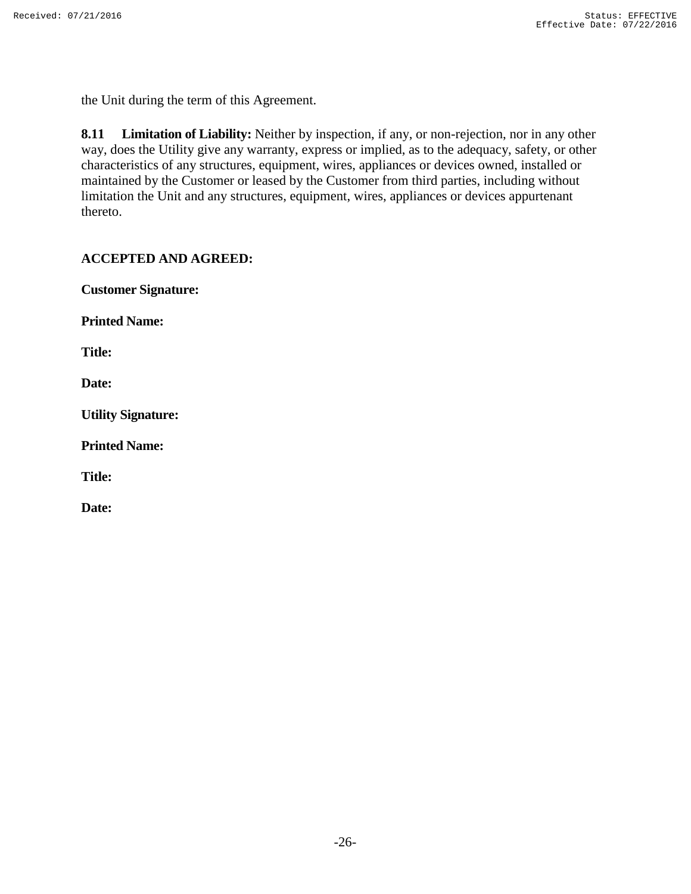the Unit during the term of this Agreement.

**8.11 Limitation of Liability:** Neither by inspection, if any, or non-rejection, nor in any other way, does the Utility give any warranty, express or implied, as to the adequacy, safety, or other characteristics of any structures, equipment, wires, appliances or devices owned, installed or maintained by the Customer or leased by the Customer from third parties, including without limitation the Unit and any structures, equipment, wires, appliances or devices appurtenant thereto.

## **ACCEPTED AND AGREED:**

**Customer Signature:** 

**Printed Name:**

**Title:**

**Date:**

**Utility Signature:**

**Printed Name:**

**Title:**

**Date:**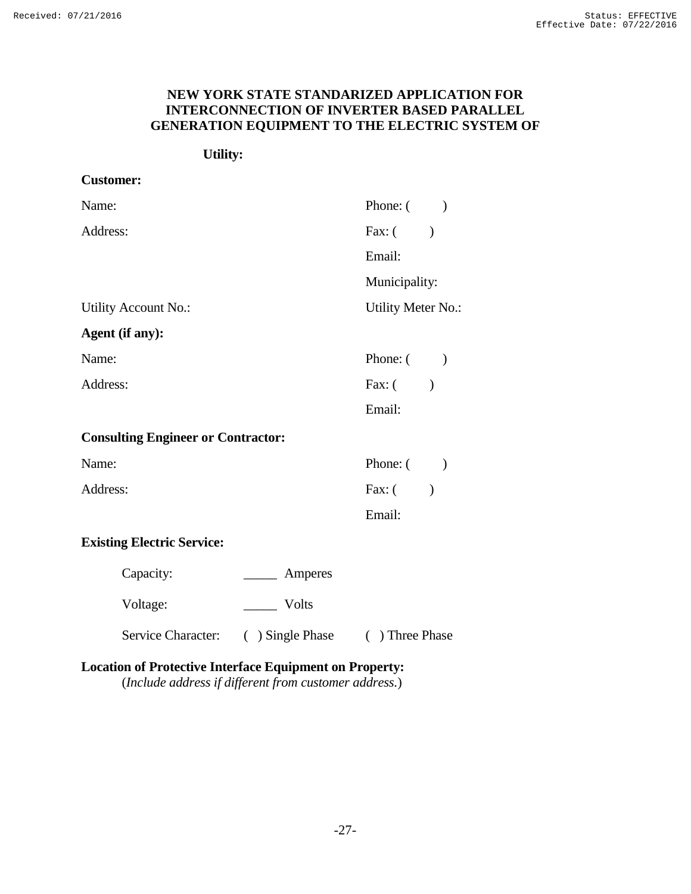# **NEW YORK STATE STANDARIZED APPLICATION FOR INTERCONNECTION OF INVERTER BASED PARALLEL GENERATION EQUIPMENT TO THE ELECTRIC SYSTEM OF**

# **Utility:**

| <b>Customer:</b>                          |                                                                                                                                                                                                                                                                                                                                                                                                                                                                                       |                           |
|-------------------------------------------|---------------------------------------------------------------------------------------------------------------------------------------------------------------------------------------------------------------------------------------------------------------------------------------------------------------------------------------------------------------------------------------------------------------------------------------------------------------------------------------|---------------------------|
| Name:                                     |                                                                                                                                                                                                                                                                                                                                                                                                                                                                                       | Phone: $($ )              |
| Address:                                  |                                                                                                                                                                                                                                                                                                                                                                                                                                                                                       | Fax: $($                  |
|                                           |                                                                                                                                                                                                                                                                                                                                                                                                                                                                                       | Email:                    |
|                                           |                                                                                                                                                                                                                                                                                                                                                                                                                                                                                       | Municipality:             |
| <b>Utility Account No.:</b>               |                                                                                                                                                                                                                                                                                                                                                                                                                                                                                       | Utility Meter No.:        |
| Agent (if any):                           |                                                                                                                                                                                                                                                                                                                                                                                                                                                                                       |                           |
| Name:                                     |                                                                                                                                                                                                                                                                                                                                                                                                                                                                                       | Phone: $($ )              |
| Address:                                  |                                                                                                                                                                                                                                                                                                                                                                                                                                                                                       | Fax: $($<br>$\lambda$     |
|                                           |                                                                                                                                                                                                                                                                                                                                                                                                                                                                                       | Email:                    |
| <b>Consulting Engineer or Contractor:</b> |                                                                                                                                                                                                                                                                                                                                                                                                                                                                                       |                           |
| Name:                                     |                                                                                                                                                                                                                                                                                                                                                                                                                                                                                       | Phone: $($                |
| Address:                                  |                                                                                                                                                                                                                                                                                                                                                                                                                                                                                       | Fax: $($<br>$\mathcal{L}$ |
|                                           |                                                                                                                                                                                                                                                                                                                                                                                                                                                                                       | Email:                    |
| <b>Existing Electric Service:</b>         |                                                                                                                                                                                                                                                                                                                                                                                                                                                                                       |                           |
| Capacity:                                 | Amperes<br>$\frac{1}{2} \left( \frac{1}{2} \right) \left( \frac{1}{2} \right) \left( \frac{1}{2} \right) \left( \frac{1}{2} \right) \left( \frac{1}{2} \right) \left( \frac{1}{2} \right) \left( \frac{1}{2} \right) \left( \frac{1}{2} \right) \left( \frac{1}{2} \right) \left( \frac{1}{2} \right) \left( \frac{1}{2} \right) \left( \frac{1}{2} \right) \left( \frac{1}{2} \right) \left( \frac{1}{2} \right) \left( \frac{1}{2} \right) \left( \frac{1}{2} \right) \left( \frac$ |                           |
| Voltage:                                  | Volts                                                                                                                                                                                                                                                                                                                                                                                                                                                                                 |                           |
| Service Character:                        | ( ) Single Phase                                                                                                                                                                                                                                                                                                                                                                                                                                                                      | ( ) Three Phase           |

# **Location of Protective Interface Equipment on Property:**

(*Include address if different from customer address.*)